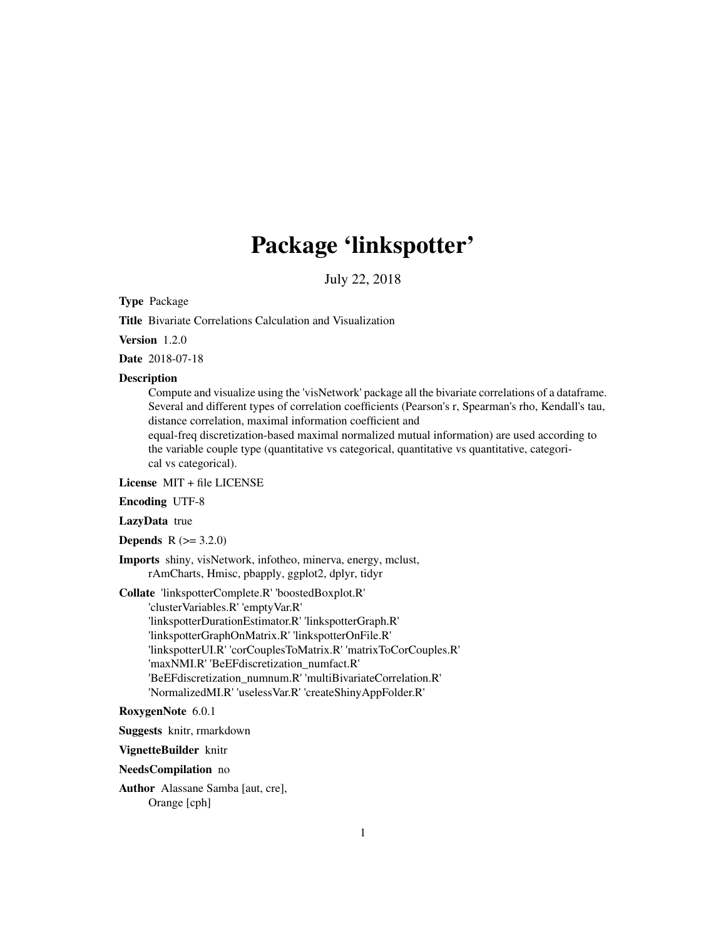# Package 'linkspotter'

July 22, 2018

Type Package

Title Bivariate Correlations Calculation and Visualization

Version 1.2.0

Date 2018-07-18

#### Description

Compute and visualize using the 'visNetwork' package all the bivariate correlations of a dataframe. Several and different types of correlation coefficients (Pearson's r, Spearman's rho, Kendall's tau, distance correlation, maximal information coefficient and

equal-freq discretization-based maximal normalized mutual information) are used according to the variable couple type (quantitative vs categorical, quantitative vs quantitative, categorical vs categorical).

License MIT + file LICENSE

Encoding UTF-8

LazyData true

**Depends** R  $(>= 3.2.0)$ 

Imports shiny, visNetwork, infotheo, minerva, energy, mclust, rAmCharts, Hmisc, pbapply, ggplot2, dplyr, tidyr

Collate 'linkspotterComplete.R' 'boostedBoxplot.R'

'clusterVariables.R' 'emptyVar.R' 'linkspotterDurationEstimator.R' 'linkspotterGraph.R' 'linkspotterGraphOnMatrix.R' 'linkspotterOnFile.R' 'linkspotterUI.R' 'corCouplesToMatrix.R' 'matrixToCorCouples.R' 'maxNMI.R' 'BeEFdiscretization\_numfact.R' 'BeEFdiscretization\_numnum.R' 'multiBivariateCorrelation.R' 'NormalizedMI.R' 'uselessVar.R' 'createShinyAppFolder.R'

#### RoxygenNote 6.0.1

Suggests knitr, rmarkdown

VignetteBuilder knitr

NeedsCompilation no

Author Alassane Samba [aut, cre], Orange [cph]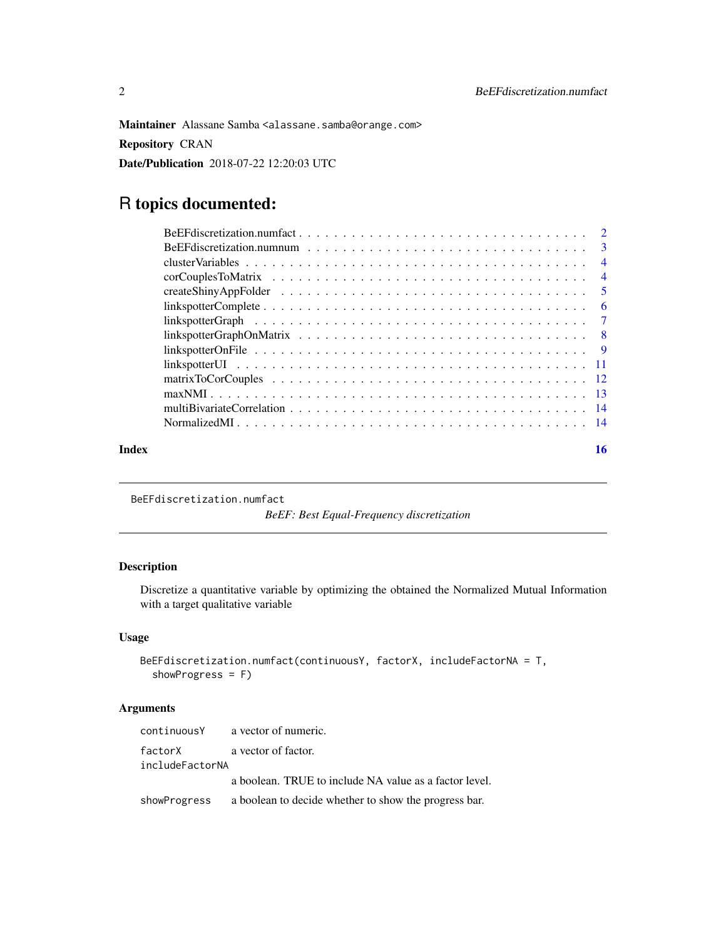<span id="page-1-0"></span>Maintainer Alassane Samba <alassane.samba@orange.com>

Repository CRAN

Date/Publication 2018-07-22 12:20:03 UTC

## R topics documented:

|       | $linkspotterComplete \ldots \ldots \ldots \ldots \ldots \ldots \ldots \ldots \ldots \ldots \ldots \ldots \ldots 6$ |    |
|-------|--------------------------------------------------------------------------------------------------------------------|----|
|       |                                                                                                                    |    |
|       |                                                                                                                    |    |
|       |                                                                                                                    |    |
|       |                                                                                                                    |    |
|       |                                                                                                                    |    |
|       |                                                                                                                    |    |
|       |                                                                                                                    |    |
|       |                                                                                                                    |    |
| Index |                                                                                                                    | 16 |

BeEFdiscretization.numfact

*BeEF: Best Equal-Frequency discretization*

### Description

Discretize a quantitative variable by optimizing the obtained the Normalized Mutual Information with a target qualitative variable

#### Usage

```
BeEFdiscretization.numfact(continuousY, factorX, includeFactorNA = T,
  showProgress = F)
```
#### Arguments

| continuousY     | a vector of numeric.                                   |
|-----------------|--------------------------------------------------------|
| factorX         | a vector of factor.                                    |
| includeFactorNA |                                                        |
|                 | a boolean. TRUE to include NA value as a factor level. |
| showProgress    | a boolean to decide whether to show the progress bar.  |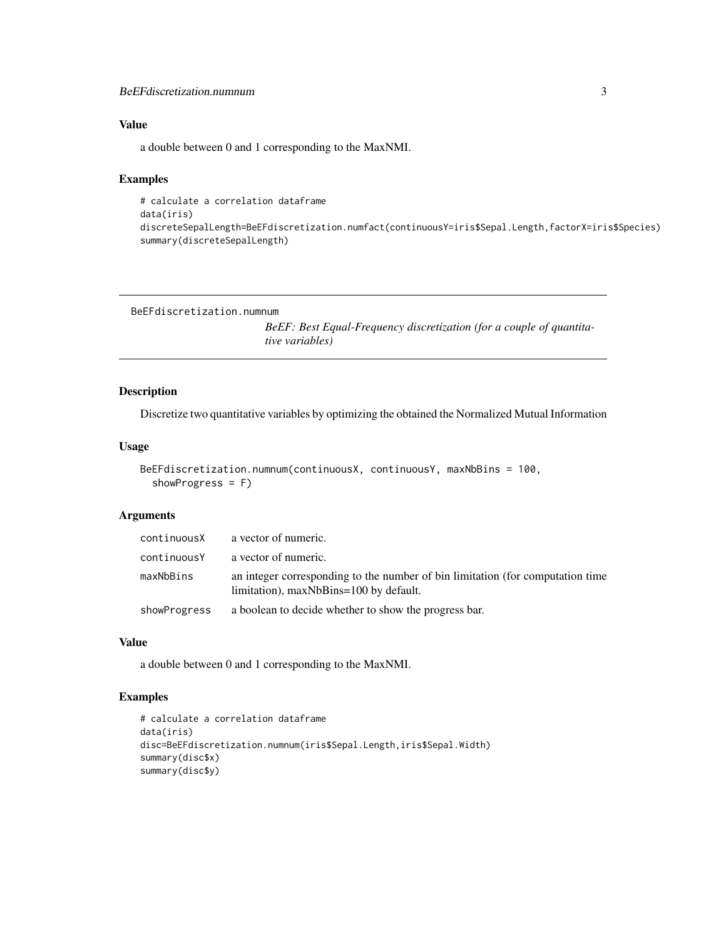#### <span id="page-2-0"></span>BeEFdiscretization.numnum 3

#### Value

a double between 0 and 1 corresponding to the MaxNMI.

#### Examples

```
# calculate a correlation dataframe
data(iris)
discreteSepalLength=BeEFdiscretization.numfact(continuousY=iris$Sepal.Length,factorX=iris$Species)
summary(discreteSepalLength)
```

```
BeEFdiscretization.numnum
```
*BeEF: Best Equal-Frequency discretization (for a couple of quantitative variables)*

#### Description

Discretize two quantitative variables by optimizing the obtained the Normalized Mutual Information

#### Usage

```
BeEFdiscretization.numnum(continuousX, continuousY, maxNbBins = 100,
  showProgress = F)
```
#### Arguments

| continuousX  | a vector of numeric.                                                                                                     |
|--------------|--------------------------------------------------------------------------------------------------------------------------|
| continuousY  | a vector of numeric.                                                                                                     |
| maxNbBins    | an integer corresponding to the number of bin limitation (for computation time<br>limitation), maxNbBins=100 by default. |
| showProgress | a boolean to decide whether to show the progress bar.                                                                    |

#### Value

a double between 0 and 1 corresponding to the MaxNMI.

#### Examples

```
# calculate a correlation dataframe
data(iris)
disc=BeEFdiscretization.numnum(iris$Sepal.Length,iris$Sepal.Width)
summary(disc$x)
summary(disc$y)
```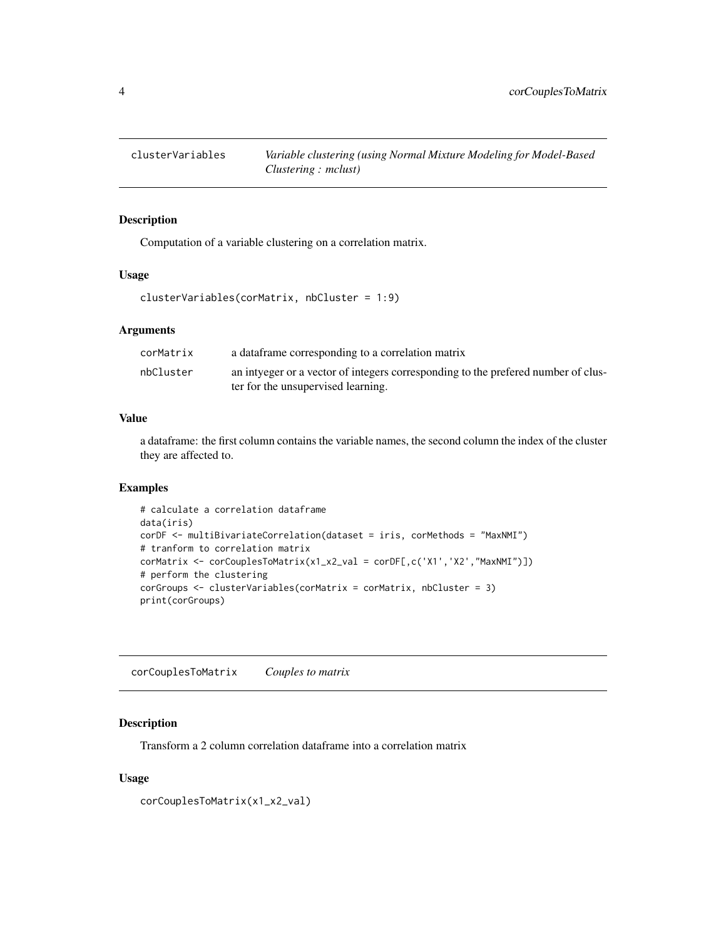<span id="page-3-0"></span>

#### Description

Computation of a variable clustering on a correlation matrix.

#### Usage

clusterVariables(corMatrix, nbCluster = 1:9)

#### Arguments

| corMatrix | a dataframe corresponding to a correlation matrix                                 |
|-----------|-----------------------------------------------------------------------------------|
| nbCluster | an intyeger or a vector of integers corresponding to the prefered number of clus- |
|           | ter for the unsupervised learning.                                                |

#### Value

a dataframe: the first column contains the variable names, the second column the index of the cluster they are affected to.

#### Examples

```
# calculate a correlation dataframe
data(iris)
corDF <- multiBivariateCorrelation(dataset = iris, corMethods = "MaxNMI")
# tranform to correlation matrix
corMatrix <- corCouplesToMatrix(x1_x2_val = corDF[,c('X1','X2',"MaxNMI")])
# perform the clustering
corGroups <- clusterVariables(corMatrix = corMatrix, nbCluster = 3)
print(corGroups)
```
corCouplesToMatrix *Couples to matrix*

#### Description

Transform a 2 column correlation dataframe into a correlation matrix

```
corCouplesToMatrix(x1_x2_val)
```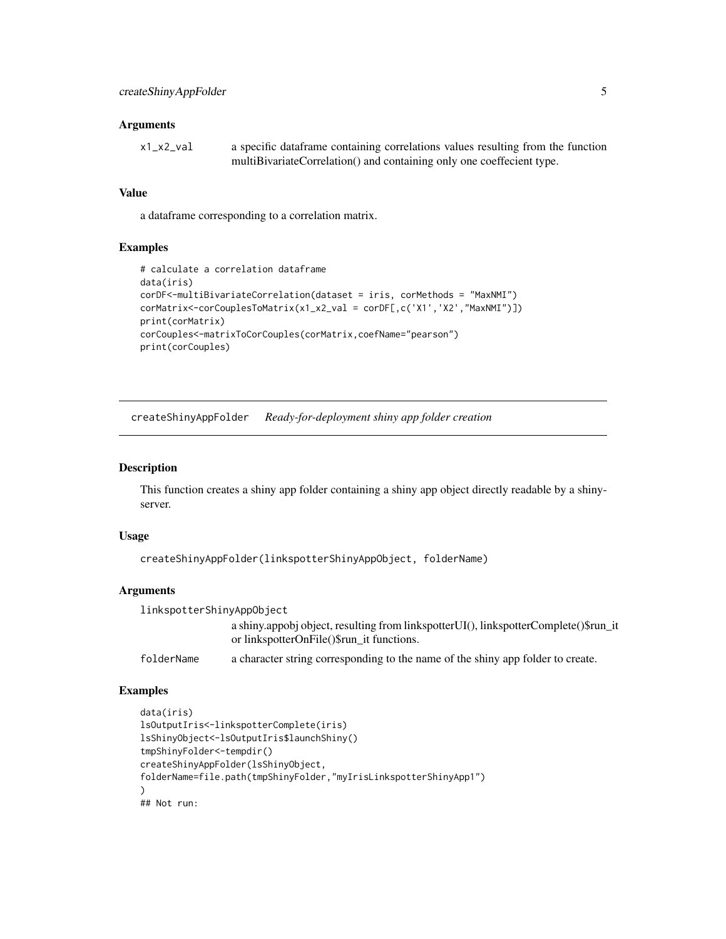<span id="page-4-0"></span>

| x1_x2_val | a specific dataframe containing correlations values resulting from the function |
|-----------|---------------------------------------------------------------------------------|
|           | multiBivariateCorrelation() and containing only one coeffecient type.           |

#### Value

a dataframe corresponding to a correlation matrix.

#### Examples

```
# calculate a correlation dataframe
data(iris)
corDF<-multiBivariateCorrelation(dataset = iris, corMethods = "MaxNMI")
corMatrix<-corCouplesToMatrix(x1_x2_val = corDF[,c('X1','X2',"MaxNMI")])
print(corMatrix)
corCouples<-matrixToCorCouples(corMatrix,coefName="pearson")
print(corCouples)
```
createShinyAppFolder *Ready-for-deployment shiny app folder creation*

#### Description

This function creates a shiny app folder containing a shiny app object directly readable by a shinyserver.

#### Usage

```
createShinyAppFolder(linkspotterShinyAppObject, folderName)
```
#### **Arguments**

```
linkspotterShinyAppObject
                  a shiny.appobj object, resulting from linkspotterUI(), linkspotterComplete()$run_it
                  or linkspotterOnFile()$run_it functions.
```
folderName a character string corresponding to the name of the shiny app folder to create.

#### Examples

```
data(iris)
lsOutputIris<-linkspotterComplete(iris)
lsShinyObject<-lsOutputIris$launchShiny()
tmpShinyFolder<-tempdir()
createShinyAppFolder(lsShinyObject,
folderName=file.path(tmpShinyFolder,"myIrisLinkspotterShinyApp1")
)
## Not run:
```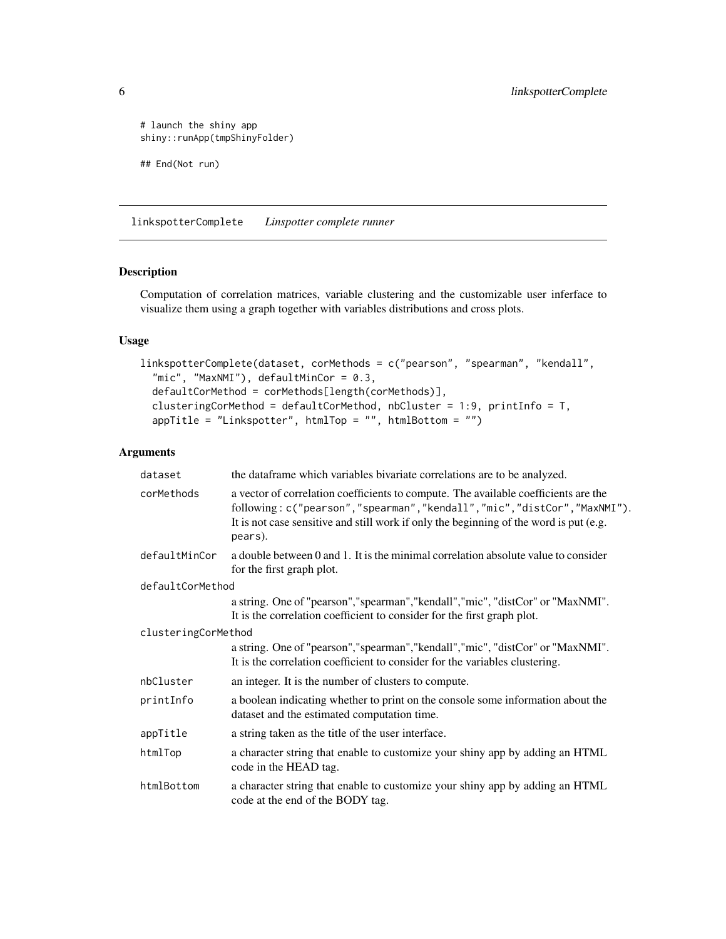```
# launch the shiny app
shiny::runApp(tmpShinyFolder)
## End(Not run)
```
linkspotterComplete *Linspotter complete runner*

#### Description

Computation of correlation matrices, variable clustering and the customizable user inferface to visualize them using a graph together with variables distributions and cross plots.

#### Usage

```
linkspotterComplete(dataset, corMethods = c("pearson", "spearman", "kendall",
  "mic", "MaxNMI"), defaultMinCor = 0.3,
  defaultCorMethod = corMethods[length(corMethods)],
  clusteringCorMethod = defaultCorMethod, nbCluster = 1:9, printInfo = T,
  appTitle = "Linkspotter", htmlTop = "", htmlBottom = "")
```
#### Arguments

| dataset             | the data frame which variables bivariate correlations are to be analyzed.                                                                                                                                                                                          |  |
|---------------------|--------------------------------------------------------------------------------------------------------------------------------------------------------------------------------------------------------------------------------------------------------------------|--|
| corMethods          | a vector of correlation coefficients to compute. The available coefficients are the<br>following: c("pearson","spearman","kendall","mic","distCor","MaxNMI").<br>It is not case sensitive and still work if only the beginning of the word is put (e.g.<br>pears). |  |
| defaultMinCor       | a double between 0 and 1. It is the minimal correlation absolute value to consider<br>for the first graph plot.                                                                                                                                                    |  |
| defaultCorMethod    |                                                                                                                                                                                                                                                                    |  |
|                     | a string. One of "pearson", "spearman", "kendall", "mic", "distCor" or "MaxNMI".<br>It is the correlation coefficient to consider for the first graph plot.                                                                                                        |  |
| clusteringCorMethod |                                                                                                                                                                                                                                                                    |  |
|                     | a string. One of "pearson", "spearman", "kendall", "mic", "distCor" or "MaxNMI".<br>It is the correlation coefficient to consider for the variables clustering.                                                                                                    |  |
| nbCluster           | an integer. It is the number of clusters to compute.                                                                                                                                                                                                               |  |
| printInfo           | a boolean indicating whether to print on the console some information about the<br>dataset and the estimated computation time.                                                                                                                                     |  |
| appTitle            | a string taken as the title of the user interface.                                                                                                                                                                                                                 |  |
| htmlTop             | a character string that enable to customize your shiny app by adding an HTML<br>code in the HEAD tag.                                                                                                                                                              |  |
| htmlBottom          | a character string that enable to customize your shiny app by adding an HTML<br>code at the end of the BODY tag.                                                                                                                                                   |  |

<span id="page-5-0"></span>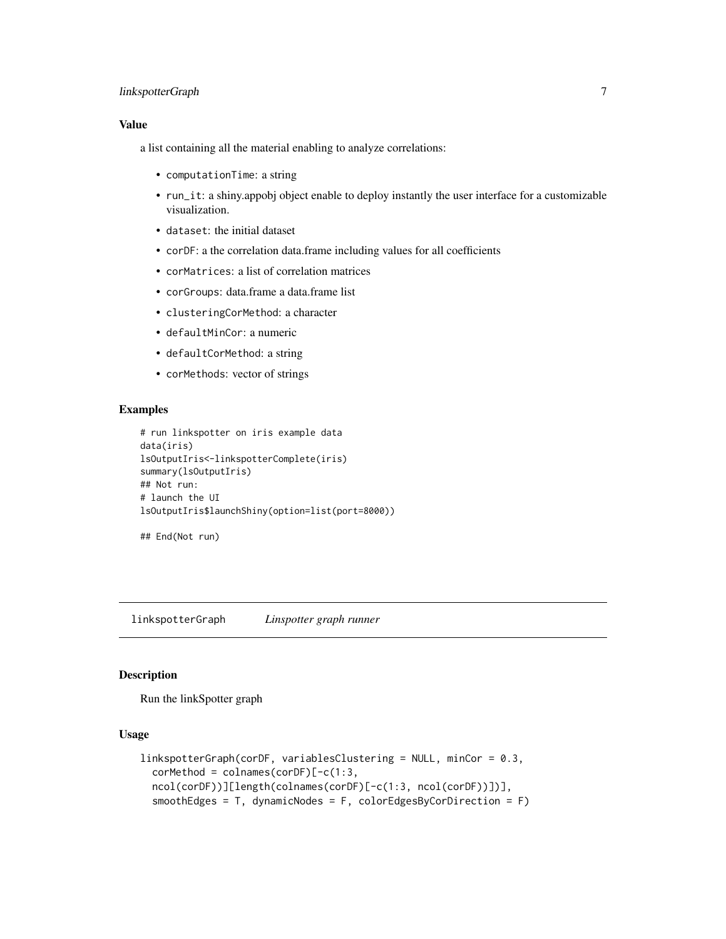#### <span id="page-6-0"></span>linkspotterGraph 7

#### Value

a list containing all the material enabling to analyze correlations:

- computationTime: a string
- run\_it: a shiny.appobj object enable to deploy instantly the user interface for a customizable visualization.
- dataset: the initial dataset
- corDF: a the correlation data.frame including values for all coefficients
- corMatrices: a list of correlation matrices
- corGroups: data.frame a data.frame list
- clusteringCorMethod: a character
- defaultMinCor: a numeric
- defaultCorMethod: a string
- corMethods: vector of strings

#### Examples

```
# run linkspotter on iris example data
data(iris)
lsOutputIris<-linkspotterComplete(iris)
summary(lsOutputIris)
## Not run:
# launch the UI
lsOutputIris$launchShiny(option=list(port=8000))
```

```
## End(Not run)
```
linkspotterGraph *Linspotter graph runner*

#### Description

Run the linkSpotter graph

```
linkspotterGraph(corDF, variablesClustering = NULL, minCor = 0.3,
  corMethod = colnames(corDF)[-c(1:3,ncol(corDF))][length(colnames(corDF)[-c(1:3, ncol(corDF))])],
  smoothEdges = T, dynamicNodes = F, colorEdgesByCorDirection = F)
```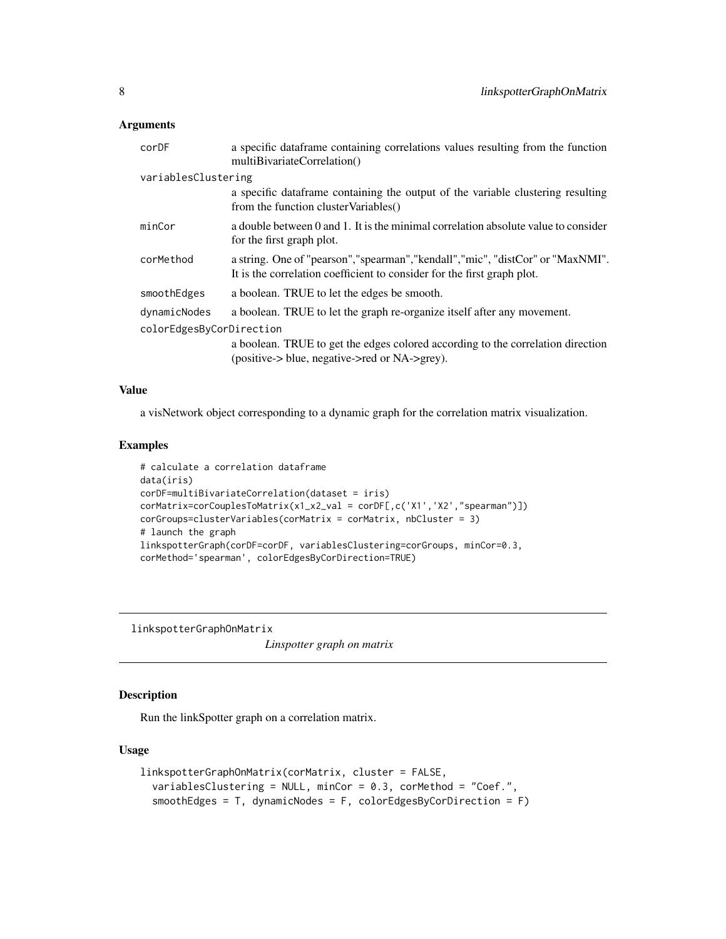<span id="page-7-0"></span>

| corDF                                    | a specific data frame containing correlations values resulting from the function<br>multiBivariateCorrelation()                                                                                             |
|------------------------------------------|-------------------------------------------------------------------------------------------------------------------------------------------------------------------------------------------------------------|
| variablesClustering                      |                                                                                                                                                                                                             |
|                                          | a specific dataframe containing the output of the variable clustering resulting<br>from the function cluster Variables()                                                                                    |
| minCor                                   | a double between 0 and 1. It is the minimal correlation absolute value to consider<br>for the first graph plot.                                                                                             |
| corMethod                                | a string. One of "pearson", "spearman", "kendall", "mic", "distCor" or "MaxNMI".<br>It is the correlation coefficient to consider for the first graph plot.                                                 |
| smoothEdges                              | a boolean. TRUE to let the edges be smooth.                                                                                                                                                                 |
| dynamicNodes<br>colorEdgesByCorDirection | a boolean. TRUE to let the graph re-organize itself after any movement.<br>a boolean. TRUE to get the edges colored according to the correlation direction<br>(positive-> blue, negative->red or NA->grey). |
|                                          |                                                                                                                                                                                                             |

#### Value

a visNetwork object corresponding to a dynamic graph for the correlation matrix visualization.

#### Examples

```
# calculate a correlation dataframe
data(iris)
corDF=multiBivariateCorrelation(dataset = iris)
corMatrix=corCouplesToMatrix(x1_x2_val = corDF[,c('X1','X2',"spearman")])
corGroups=clusterVariables(corMatrix = corMatrix, nbCluster = 3)
# launch the graph
linkspotterGraph(corDF=corDF, variablesClustering=corGroups, minCor=0.3,
corMethod='spearman', colorEdgesByCorDirection=TRUE)
```
linkspotterGraphOnMatrix

*Linspotter graph on matrix*

#### Description

Run the linkSpotter graph on a correlation matrix.

```
linkspotterGraphOnMatrix(corMatrix, cluster = FALSE,
 variablesClustering = NULL, minCor = 0.3, corMethod = "Coef.",
  smoothEdges = T, dynamicNodes = F, colorEdgesByCorDirection = F)
```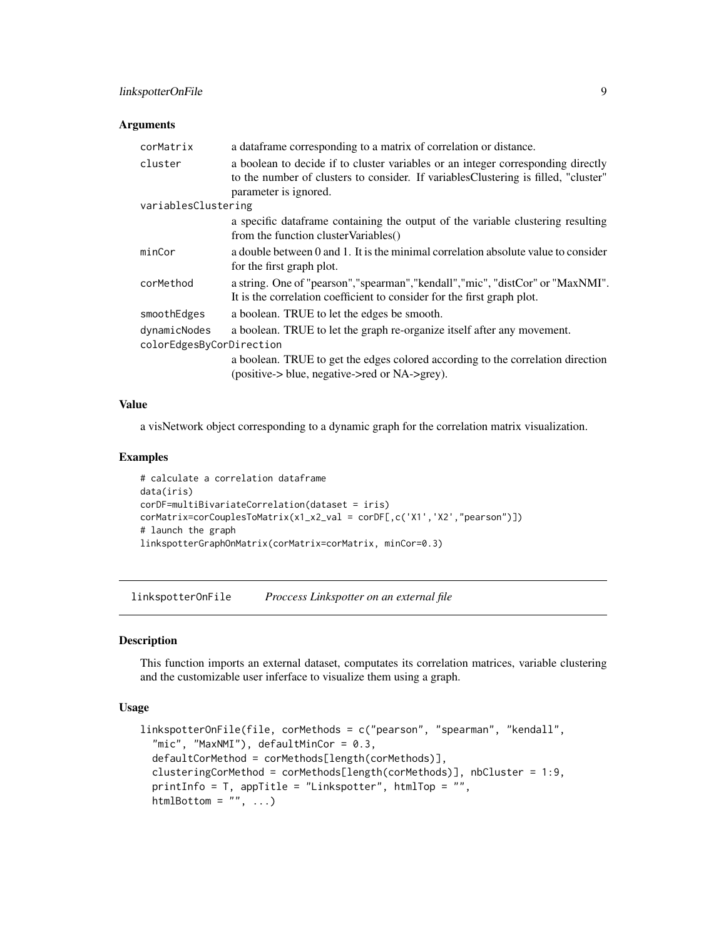<span id="page-8-0"></span>

| corMatrix                | a data frame corresponding to a matrix of correlation or distance.                                                                                                                               |  |
|--------------------------|--------------------------------------------------------------------------------------------------------------------------------------------------------------------------------------------------|--|
| cluster                  | a boolean to decide if to cluster variables or an integer corresponding directly<br>to the number of clusters to consider. If variables Clustering is filled, "cluster"<br>parameter is ignored. |  |
| variablesClustering      |                                                                                                                                                                                                  |  |
|                          | a specific data frame containing the output of the variable clustering resulting<br>from the function cluster Variables()                                                                        |  |
| minCor                   | a double between 0 and 1. It is the minimal correlation absolute value to consider<br>for the first graph plot.                                                                                  |  |
| corMethod                | a string. One of "pearson", "spearman", "kendall", "mic", "distCor" or "MaxNMI".<br>It is the correlation coefficient to consider for the first graph plot.                                      |  |
| smoothEdges              | a boolean. TRUE to let the edges be smooth.                                                                                                                                                      |  |
| dynamicNodes             | a boolean. TRUE to let the graph re-organize itself after any movement.                                                                                                                          |  |
| colorEdgesByCorDirection |                                                                                                                                                                                                  |  |
|                          | a boolean. TRUE to get the edges colored according to the correlation direction<br>$(positive > blue, negative > red \text{ or NA} > grey).$                                                     |  |

#### Value

a visNetwork object corresponding to a dynamic graph for the correlation matrix visualization.

#### Examples

```
# calculate a correlation dataframe
data(iris)
corDF=multiBivariateCorrelation(dataset = iris)
corMatrix=corCouplesToMatrix(x1_x2_val = corDF[,c('X1','X2',"pearson")])
# launch the graph
linkspotterGraphOnMatrix(corMatrix=corMatrix, minCor=0.3)
```
linkspotterOnFile *Proccess Linkspotter on an external file*

#### Description

This function imports an external dataset, computates its correlation matrices, variable clustering and the customizable user inferface to visualize them using a graph.

```
linkspotterOnFile(file, corMethods = c("pearson", "spearman", "kendall",
  "mic", "MaxNMI"), defaultMinCor = 0.3,
  defaultCorMethod = corMethods[length(corMethods)],
  clusteringCorMethod = corMethods[length(corMethods)], nbCluster = 1:9,
  printInfo = T, appTitle = "Linkspotter", htmlTop = "",
 htmlBottom = "", ...)
```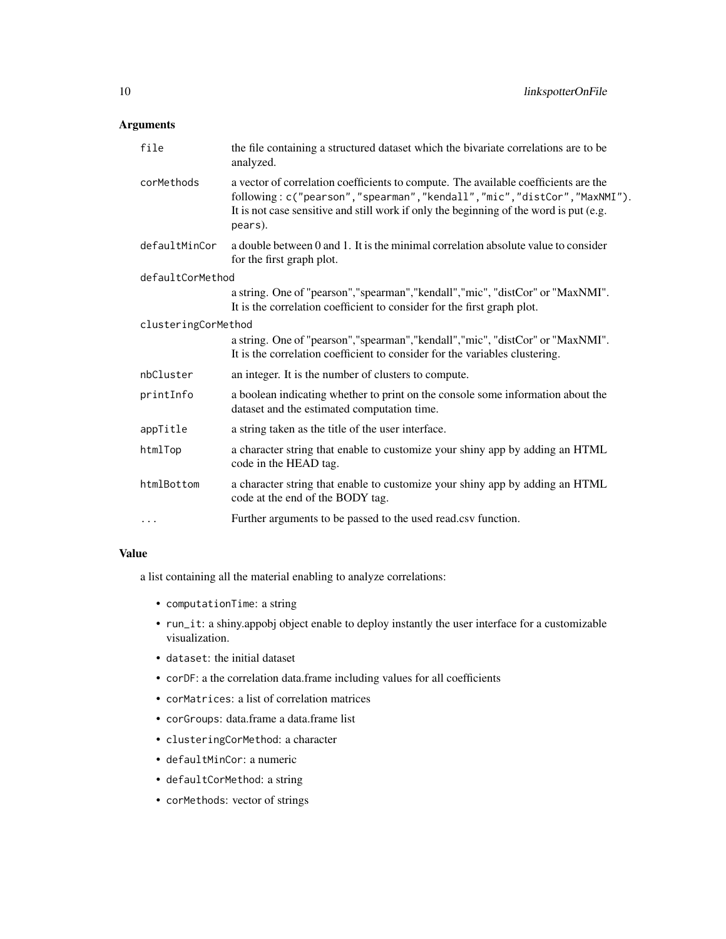| file                | the file containing a structured dataset which the bivariate correlations are to be<br>analyzed.                                                                                                                                                                        |
|---------------------|-------------------------------------------------------------------------------------------------------------------------------------------------------------------------------------------------------------------------------------------------------------------------|
| corMethods          | a vector of correlation coefficients to compute. The available coefficients are the<br>following: c("pearson", "spearman", "kendall", "mic", "distCor", "MaxNMI").<br>It is not case sensitive and still work if only the beginning of the word is put (e.g.<br>pears). |
| defaultMinCor       | a double between 0 and 1. It is the minimal correlation absolute value to consider<br>for the first graph plot.                                                                                                                                                         |
| defaultCorMethod    |                                                                                                                                                                                                                                                                         |
|                     | a string. One of "pearson", "spearman", "kendall", "mic", "distCor" or "MaxNMI".<br>It is the correlation coefficient to consider for the first graph plot.                                                                                                             |
| clusteringCorMethod |                                                                                                                                                                                                                                                                         |
|                     | a string. One of "pearson", "spearman", "kendall", "mic", "distCor" or "MaxNMI".<br>It is the correlation coefficient to consider for the variables clustering.                                                                                                         |
| nbCluster           | an integer. It is the number of clusters to compute.                                                                                                                                                                                                                    |
| printInfo           | a boolean indicating whether to print on the console some information about the<br>dataset and the estimated computation time.                                                                                                                                          |
| appTitle            | a string taken as the title of the user interface.                                                                                                                                                                                                                      |
| htmlTop             | a character string that enable to customize your shiny app by adding an HTML<br>code in the HEAD tag.                                                                                                                                                                   |
| htmlBottom          | a character string that enable to customize your shiny app by adding an HTML<br>code at the end of the BODY tag.                                                                                                                                                        |
| $\cdots$            | Further arguments to be passed to the used read.csv function.                                                                                                                                                                                                           |

#### Value

a list containing all the material enabling to analyze correlations:

- computationTime: a string
- run\_it: a shiny.appobj object enable to deploy instantly the user interface for a customizable visualization.
- dataset: the initial dataset
- corDF: a the correlation data.frame including values for all coefficients
- corMatrices: a list of correlation matrices
- corGroups: data.frame a data.frame list
- clusteringCorMethod: a character
- defaultMinCor: a numeric
- defaultCorMethod: a string
- corMethods: vector of strings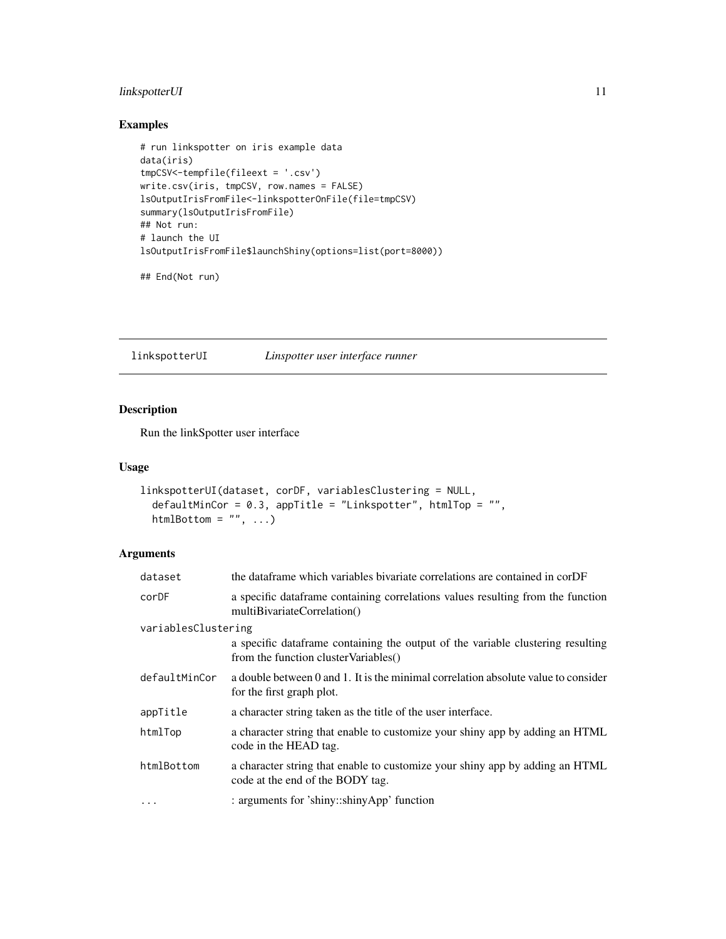#### <span id="page-10-0"></span>linkspotterUI 11

#### Examples

```
# run linkspotter on iris example data
data(iris)
tmpCSV<-tempfile(fileext = '.csv')
write.csv(iris, tmpCSV, row.names = FALSE)
lsOutputIrisFromFile<-linkspotterOnFile(file=tmpCSV)
summary(lsOutputIrisFromFile)
## Not run:
# launch the UI
lsOutputIrisFromFile$launchShiny(options=list(port=8000))
```
## End(Not run)

linkspotterUI *Linspotter user interface runner*

#### Description

Run the linkSpotter user interface

#### Usage

```
linkspotterUI(dataset, corDF, variablesClustering = NULL,
 defaultMinCor = 0.3, appTitle = "Linkspotter", htmlTop = "",
 htmlBottom = ", ...)
```
#### Arguments

| dataset             | the data frame which variables bivariate correlations are contained in corDF                                             |
|---------------------|--------------------------------------------------------------------------------------------------------------------------|
| corDF               | a specific dataframe containing correlations values resulting from the function<br>multiBivariateCorrelation()           |
| variablesClustering |                                                                                                                          |
|                     | a specific dataframe containing the output of the variable clustering resulting<br>from the function cluster Variables() |
| defaultMinCor       | a double between 0 and 1. It is the minimal correlation absolute value to consider<br>for the first graph plot.          |
| appTitle            | a character string taken as the title of the user interface.                                                             |
| htmlTop             | a character string that enable to customize your shiny app by adding an HTML<br>code in the HEAD tag.                    |
| htmlBottom          | a character string that enable to customize your shiny app by adding an HTML<br>code at the end of the BODY tag.         |
| $\cdots$            | : arguments for 'shiny::shinyApp' function                                                                               |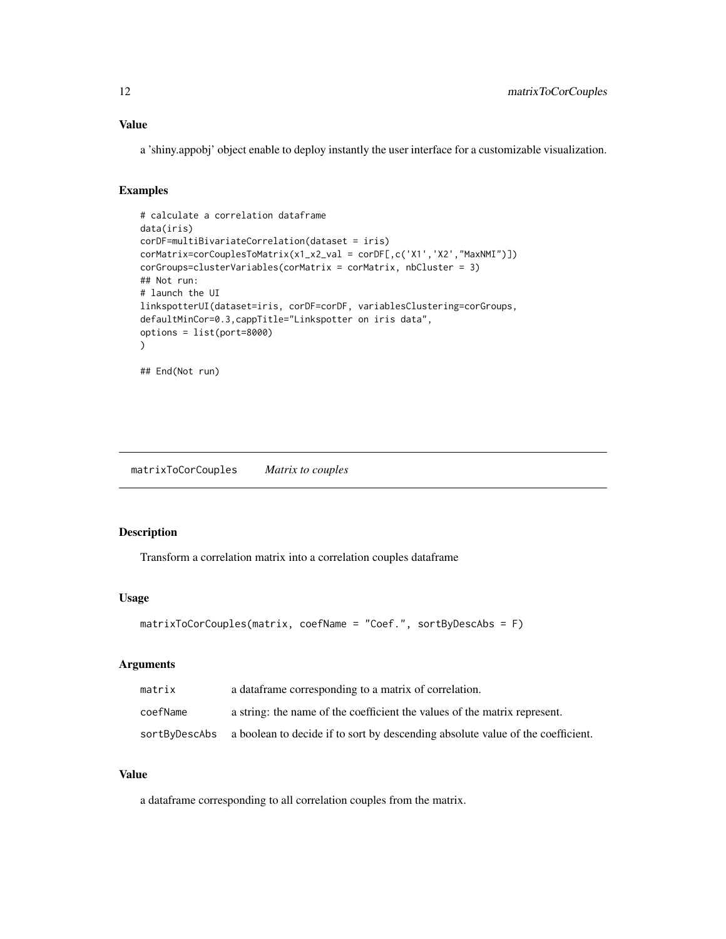#### Value

a 'shiny.appobj' object enable to deploy instantly the user interface for a customizable visualization.

#### Examples

```
# calculate a correlation dataframe
data(iris)
corDF=multiBivariateCorrelation(dataset = iris)
corMatrix=corCouplesToMatrix(x1_x2_val = corDF[,c('X1','X2',"MaxNMI")])
corGroups=clusterVariables(corMatrix = corMatrix, nbCluster = 3)
## Not run:
# launch the UI
linkspotterUI(dataset=iris, corDF=corDF, variablesClustering=corGroups,
defaultMinCor=0.3,cappTitle="Linkspotter on iris data",
options = list(port=8000)
)
## End(Not run)
```
matrixToCorCouples *Matrix to couples*

#### Description

Transform a correlation matrix into a correlation couples dataframe

#### Usage

```
matrixToCorCouples(matrix, coefName = "Coef.", sortByDescAbs = F)
```
#### Arguments

| matrix   | a data frame corresponding to a matrix of correlation.                                        |
|----------|-----------------------------------------------------------------------------------------------|
| coefName | a string: the name of the coefficient the values of the matrix represent.                     |
|          | sortByDescAbs a boolean to decide if to sort by descending absolute value of the coefficient. |

#### Value

a dataframe corresponding to all correlation couples from the matrix.

<span id="page-11-0"></span>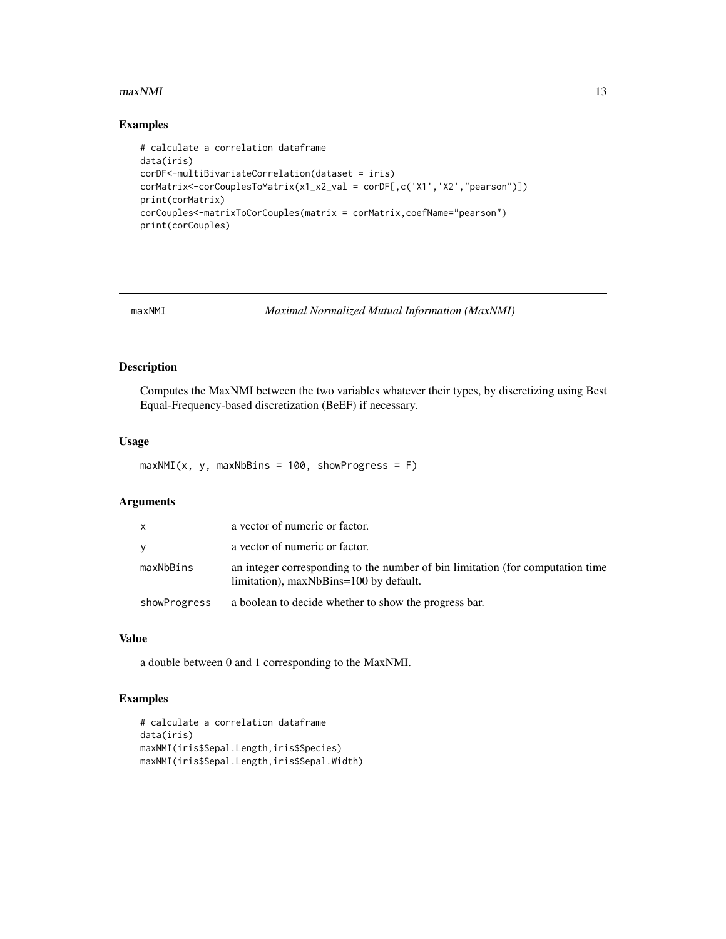#### <span id="page-12-0"></span> $maxNMI$  13

#### Examples

```
# calculate a correlation dataframe
data(iris)
corDF<-multiBivariateCorrelation(dataset = iris)
corMatrix<-corCouplesToMatrix(x1_x2_val = corDF[,c('X1','X2',"pearson")])
print(corMatrix)
corCouples<-matrixToCorCouples(matrix = corMatrix,coefName="pearson")
print(corCouples)
```
maxNMI *Maximal Normalized Mutual Information (MaxNMI)*

#### Description

Computes the MaxNMI between the two variables whatever their types, by discretizing using Best Equal-Frequency-based discretization (BeEF) if necessary.

#### Usage

 $maxNMI(x, y, maxNbBins = 100, showProgress = F)$ 

#### Arguments

| x            | a vector of numeric or factor.                                                                                           |
|--------------|--------------------------------------------------------------------------------------------------------------------------|
| ٧            | a vector of numeric or factor.                                                                                           |
| maxNbBins    | an integer corresponding to the number of bin limitation (for computation time<br>limitation), maxNbBins=100 by default. |
| showProgress | a boolean to decide whether to show the progress bar.                                                                    |

#### Value

a double between 0 and 1 corresponding to the MaxNMI.

#### Examples

```
# calculate a correlation dataframe
data(iris)
maxNMI(iris$Sepal.Length,iris$Species)
maxNMI(iris$Sepal.Length,iris$Sepal.Width)
```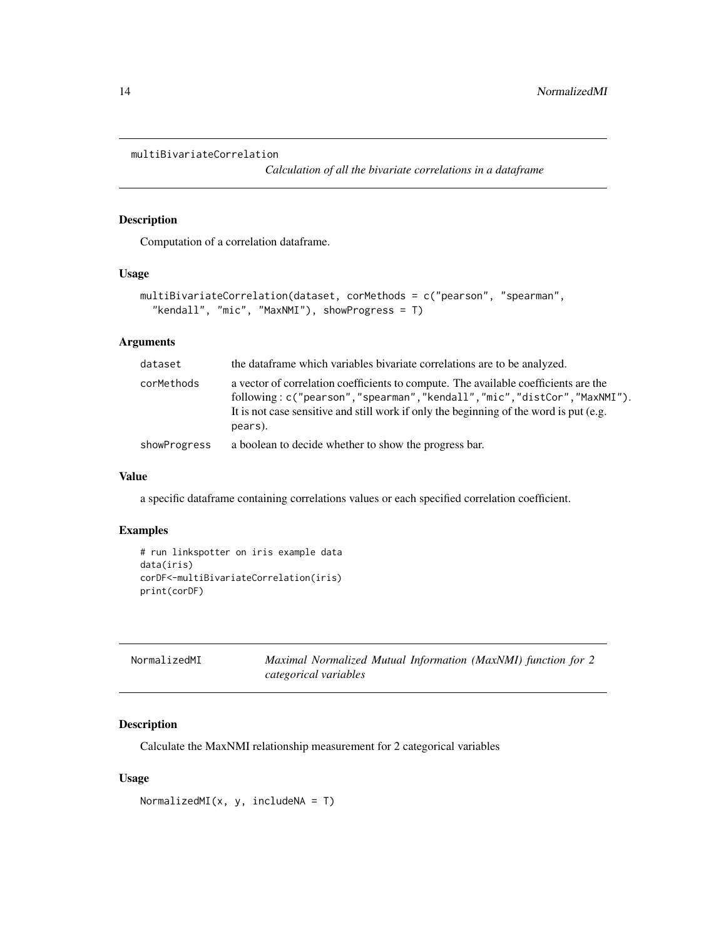```
multiBivariateCorrelation
```
*Calculation of all the bivariate correlations in a dataframe*

#### Description

Computation of a correlation dataframe.

#### Usage

```
multiBivariateCorrelation(dataset, corMethods = c("pearson", "spearman",
  "kendall", "mic", "MaxNMI"), showProgress = T)
```
#### Arguments

| dataset      | the data frame which variables bivariate correlations are to be analyzed.                                                                                                                                                                                          |
|--------------|--------------------------------------------------------------------------------------------------------------------------------------------------------------------------------------------------------------------------------------------------------------------|
| corMethods   | a vector of correlation coefficients to compute. The available coefficients are the<br>following: c("pearson","spearman","kendall","mic","distCor","MaxNMI").<br>It is not case sensitive and still work if only the beginning of the word is put (e.g.<br>pears). |
| showProgress | a boolean to decide whether to show the progress bar.                                                                                                                                                                                                              |

#### Value

a specific dataframe containing correlations values or each specified correlation coefficient.

#### Examples

```
# run linkspotter on iris example data
data(iris)
corDF<-multiBivariateCorrelation(iris)
print(corDF)
```

| NormalizedMI | Maximal Normalized Mutual Information (MaxNMI) function for 2 |
|--------------|---------------------------------------------------------------|
|              | categorical variables                                         |

#### Description

Calculate the MaxNMI relationship measurement for 2 categorical variables

```
NormalizedMI(x, y, includeNA = T)
```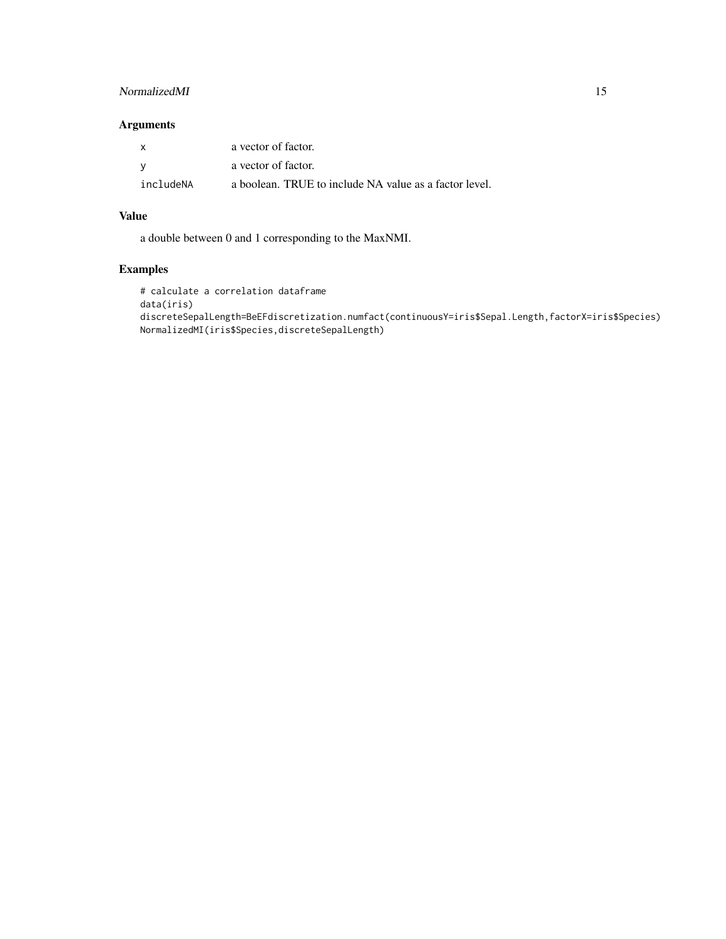#### NormalizedMI 15

#### Arguments

| X         | a vector of factor.                                    |
|-----------|--------------------------------------------------------|
| - V       | a vector of factor.                                    |
| includeNA | a boolean. TRUE to include NA value as a factor level. |

#### Value

a double between 0 and 1 corresponding to the MaxNMI.

### Examples

# calculate a correlation dataframe data(iris) discreteSepalLength=BeEFdiscretization.numfact(continuousY=iris\$Sepal.Length,factorX=iris\$Species) NormalizedMI(iris\$Species,discreteSepalLength)